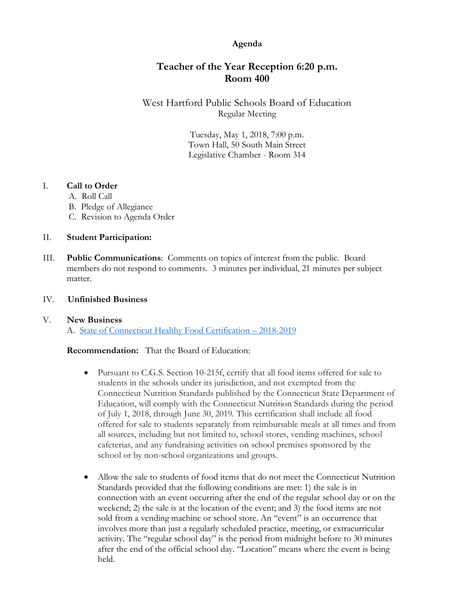## **Agenda**

# **Teacher of the Year Reception 6:20 p.m. Room 400**

West Hartford Public Schools Board of Education Regular Meeting

> Tuesday, May 1, 2018, 7:00 p.m. Town Hall, 50 South Main Street Legislative Chamber - Room 314

## I. **Call to Order**

- A. Roll Call
- B. Pledge of Allegiance
- C. Revision to Agenda Order

#### II. **Student Participation:**

III. **Public Communications**: Comments on topics of interest from the public. Board members do not respond to comments. 3 minutes per individual, 21 minutes per subject matter.

#### IV. **Unfinished Business**

## V. **New Business**

A. [State of Connecticut Healthy Food Certification](https://www.whps.org/uploaded/BOE/BOE_Documents/20180501/Healthy_Food_Certification_-_2018-19.pdf?1524773183271) – 2018-2019

#### **Recommendation:** That the Board of Education:

- Pursuant to C.G.S. Section 10-215f, certify that all food items offered for sale to students in the schools under its jurisdiction, and not exempted from the Connecticut Nutrition Standards published by the Connecticut State Department of Education, will comply with the Connecticut Nutrition Standards during the period of July 1, 2018, through June 30, 2019. This certification shall include all food offered for sale to students separately from reimbursable meals at all times and from all sources, including but not limited to, school stores, vending machines, school cafeterias, and any fundraising activities on school premises sponsored by the school or by non-school organizations and groups.
- Allow the sale to students of food items that do not meet the Connecticut Nutrition Standards provided that the following conditions are met: 1) the sale is in connection with an event occurring after the end of the regular school day or on the weekend; 2) the sale is at the location of the event; and 3) the food items are not sold from a vending machine or school store. An "event" is an occurrence that involves more than just a regularly scheduled practice, meeting, or extracurricular activity. The "regular school day" is the period from midnight before to 30 minutes after the end of the official school day. "Location" means where the event is being held.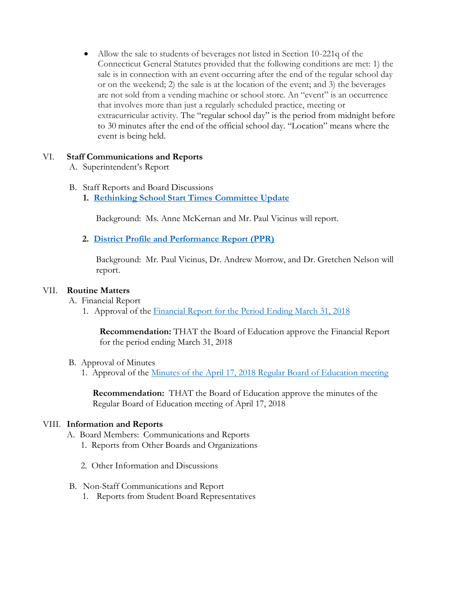• Allow the sale to students of beverages not listed in Section 10-221q of the Connecticut General Statutes provided that the following conditions are met: 1) the sale is in connection with an event occurring after the end of the regular school day or on the weekend; 2) the sale is at the location of the event; and 3) the beverages are not sold from a vending machine or school store. An "event" is an occurrence that involves more than just a regularly scheduled practice, meeting or extracurricular activity. The "regular school day" is the period from midnight before to 30 minutes after the end of the official school day. "Location" means where the event is being held.

## VI. **Staff Communications and Reports**

- A. Superintendent's Report
- B. Staff Reports and Board Discussions
	- **1. [Rethinking School Start Times](https://www.whps.org/uploaded/BOE/BOE_Documents/20180501/rethinking_school_start_times.pdf?1524773199158) Committee Update**

Background: Ms. Anne McKernan and Mr. Paul Vicinus will report.

**2. [District Profile and Performance Report \(PPR\)](https://www.whps.org/uploaded/BOE/BOE_Documents/20180501/Performance_and_Profile_Report.pdf?1524773222614)**

Background: Mr. Paul Vicinus, Dr. Andrew Morrow, and Dr. Gretchen Nelson will report.

#### VII. **Routine Matters**

- A. Financial Report
	- 1. Approval of the [Financial Report for the Period Ending March 31, 2018](https://www.whps.org/uploaded/BOE/BOE_Documents/20180501/Financial_Report_for_Period_Ending_March_31,_2018.pdf?1524773238839)

**Recommendation:** THAT the Board of Education approve the Financial Report for the period ending March 31, 2018

- B. Approval of Minutes
	- 1. Approval of the Minutes of [the April 17, 2018 Regular Board of Education meeting](https://www.whps.org/uploaded/BOE/BOE_Documents/20180501/minutes_from_April_17,_2018.pdf?1524773259191)

**Recommendation:** THAT the Board of Education approve the minutes of the Regular Board of Education meeting of April 17, 2018

#### VIII. **Information and Reports**

- A. Board Members: Communications and Reports
	- 1. Reports from Other Boards and Organizations
	- 2. Other Information and Discussions
- B. Non-Staff Communications and Report
	- 1. Reports from Student Board Representatives